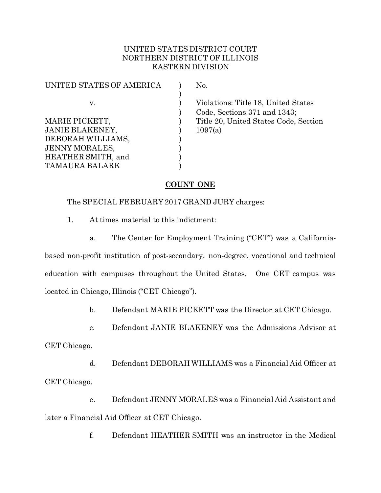## UNITED STATES DISTRICT COURT NORTHERN DISTRICT OF ILLINOIS EASTERN DIVISION

| UNITED STATES OF AMERICA | No.  |
|--------------------------|------|
|                          |      |
| $V_{-}$                  | Vio  |
|                          | Coc  |
| MARIE PICKETT,           | Titl |
| <b>JANIE BLAKENEY,</b>   | 109  |
| DEBORAH WILLIAMS,        |      |
| <b>JENNY MORALES,</b>    |      |
| HEATHER SMITH, and       |      |
| <b>TAMAURA BALARK</b>    |      |
|                          |      |

Violations: Title 18, United States ) Code, Sections 371 and 1343; Title 20, United States Code, Section  $1097(a)$ 

# **COUNT ONE**

## The SPECIAL FEBRUARY 2017 GRAND JURY charges:

- 1. At times material to this indictment:
	- a. The Center for Employment Training ("CET") was a California-

based non-profit institution of post-secondary, non-degree, vocational and technical education with campuses throughout the United States. One CET campus was located in Chicago, Illinois ("CET Chicago").

b. Defendant MARIE PICKETT was the Director at CET Chicago.

c. Defendant JANIE BLAKENEY was the Admissions Advisor at CET Chicago.

d. Defendant DEBORAH WILLIAMS was a Financial Aid Officer at CET Chicago.

e. Defendant JENNY MORALES was a Financial Aid Assistant and later a Financial Aid Officer at CET Chicago.

f. Defendant HEATHER SMITH was an instructor in the Medical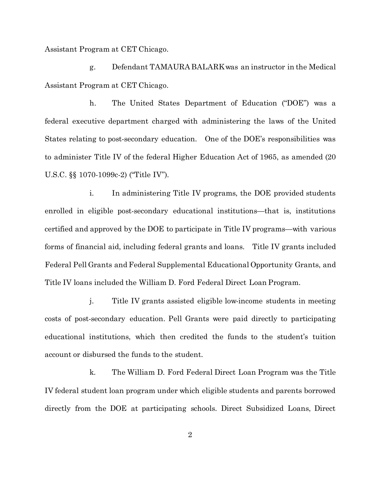Assistant Program at CET Chicago.

g. Defendant TAMAURA BALARK was an instructor in the Medical Assistant Program at CET Chicago.

h. The United States Department of Education ("DOE") was a federal executive department charged with administering the laws of the United States relating to post-secondary education. One of the DOE's responsibilities was to administer Title IV of the federal Higher Education Act of 1965, as amended (20 U.S.C. §§ 1070-1099c-2) ("Title IV").

i. In administering Title IV programs, the DOE provided students enrolled in eligible post-secondary educational institutions—that is, institutions certified and approved by the DOE to participate in Title IV programs—with various forms of financial aid, including federal grants and loans. Title IV grants included Federal Pell Grants and Federal Supplemental Educational Opportunity Grants, and Title IV loans included the William D. Ford Federal Direct Loan Program.

j. Title IV grants assisted eligible low-income students in meeting costs of post-secondary education. Pell Grants were paid directly to participating educational institutions, which then credited the funds to the student's tuition account or disbursed the funds to the student.

k. The William D. Ford Federal Direct Loan Program was the Title IV federal student loan program under which eligible students and parents borrowed directly from the DOE at participating schools. Direct Subsidized Loans, Direct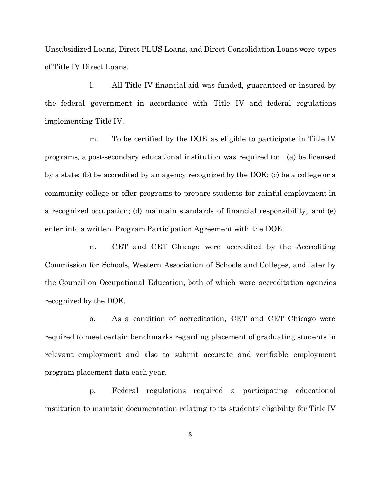Unsubsidized Loans, Direct PLUS Loans, and Direct Consolidation Loans were types of Title IV Direct Loans.

l. All Title IV financial aid was funded, guaranteed or insured by the federal government in accordance with Title IV and federal regulations implementing Title IV.

m. To be certified by the DOE as eligible to participate in Title IV programs, a post-secondary educational institution was required to: (a) be licensed by a state; (b) be accredited by an agency recognized by the DOE; (c) be a college or a community college or offer programs to prepare students for gainful employment in a recognized occupation; (d) maintain standards of financial responsibility; and (e) enter into a written Program Participation Agreement with the DOE.

n. CET and CET Chicago were accredited by the Accrediting Commission for Schools, Western Association of Schools and Colleges, and later by the Council on Occupational Education, both of which were accreditation agencies recognized by the DOE.

o. As a condition of accreditation, CET and CET Chicago were required to meet certain benchmarks regarding placement of graduating students in relevant employment and also to submit accurate and verifiable employment program placement data each year.

p. Federal regulations required a participating educational institution to maintain documentation relating to its students' eligibility for Title IV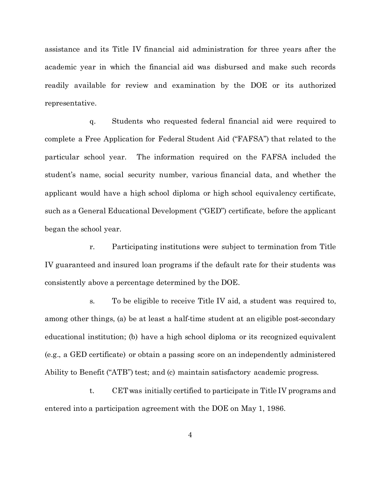assistance and its Title IV financial aid administration for three years after the academic year in which the financial aid was disbursed and make such records readily available for review and examination by the DOE or its authorized representative.

q. Students who requested federal financial aid were required to complete a Free Application for Federal Student Aid ("FAFSA") that related to the particular school year. The information required on the FAFSA included the student's name, social security number, various financial data, and whether the applicant would have a high school diploma or high school equivalency certificate, such as a General Educational Development ("GED") certificate, before the applicant began the school year.

r. Participating institutions were subject to termination from Title IV guaranteed and insured loan programs if the default rate for their students was consistently above a percentage determined by the DOE.

s. To be eligible to receive Title IV aid, a student was required to, among other things, (a) be at least a half-time student at an eligible post-secondary educational institution; (b) have a high school diploma or its recognized equivalent (e.g., a GED certificate) or obtain a passing score on an independently administered Ability to Benefit ("ATB") test; and (c) maintain satisfactory academic progress.

t. CET was initially certified to participate in Title IV programs and entered into a participation agreement with the DOE on May 1, 1986.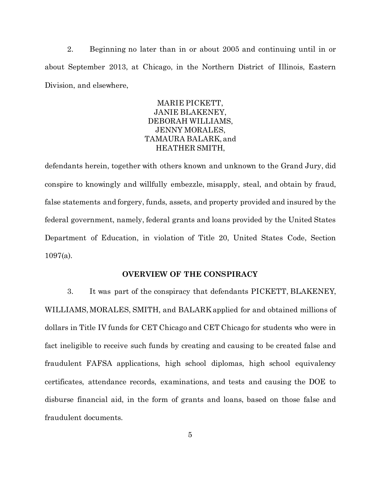2. Beginning no later than in or about 2005 and continuing until in or about September 2013, at Chicago, in the Northern District of Illinois, Eastern Division, and elsewhere,

## MARIE PICKETT, JANIE BLAKENEY, DEBORAH WILLIAMS, JENNY MORALES, TAMAURA BALARK, and HEATHER SMITH,

defendants herein, together with others known and unknown to the Grand Jury, did conspire to knowingly and willfully embezzle, misapply, steal, and obtain by fraud, false statements and forgery, funds, assets, and property provided and insured by the federal government, namely, federal grants and loans provided by the United States Department of Education, in violation of Title 20, United States Code, Section 1097(a).

### **OVERVIEW OF THE CONSPIRACY**

3. It was part of the conspiracy that defendants PICKETT, BLAKENEY, WILLIAMS, MORALES, SMITH, and BALARK applied for and obtained millions of dollars in Title IV funds for CET Chicago and CET Chicago for students who were in fact ineligible to receive such funds by creating and causing to be created false and fraudulent FAFSA applications, high school diplomas, high school equivalency certificates, attendance records, examinations, and tests and causing the DOE to disburse financial aid, in the form of grants and loans, based on those false and fraudulent documents.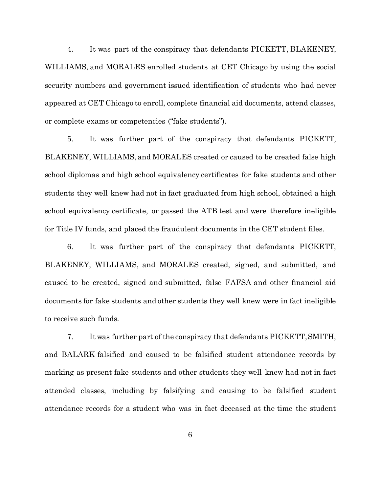4. It was part of the conspiracy that defendants PICKETT, BLAKENEY, WILLIAMS, and MORALES enrolled students at CET Chicago by using the social security numbers and government issued identification of students who had never appeared at CET Chicago to enroll, complete financial aid documents, attend classes, or complete exams or competencies ("fake students").

5. It was further part of the conspiracy that defendants PICKETT, BLAKENEY, WILLIAMS, and MORALES created or caused to be created false high school diplomas and high school equivalency certificates for fake students and other students they well knew had not in fact graduated from high school, obtained a high school equivalency certificate, or passed the ATB test and were therefore ineligible for Title IV funds, and placed the fraudulent documents in the CET student files.

6. It was further part of the conspiracy that defendants PICKETT, BLAKENEY, WILLIAMS, and MORALES created, signed, and submitted, and caused to be created, signed and submitted, false FAFSA and other financial aid documents for fake students and other students they well knew were in fact ineligible to receive such funds.

7. It was further part of the conspiracy that defendants PICKETT, SMITH, and BALARK falsified and caused to be falsified student attendance records by marking as present fake students and other students they well knew had not in fact attended classes, including by falsifying and causing to be falsified student attendance records for a student who was in fact deceased at the time the student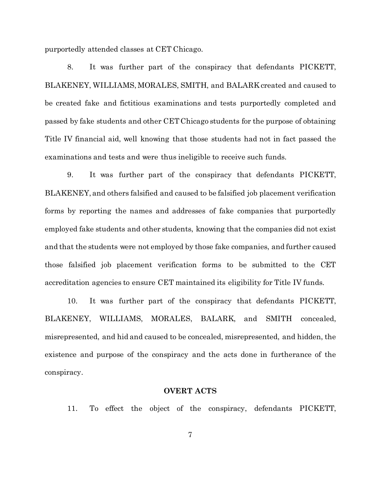purportedly attended classes at CET Chicago.

8. It was further part of the conspiracy that defendants PICKETT, BLAKENEY, WILLIAMS, MORALES, SMITH, and BALARK created and caused to be created fake and fictitious examinations and tests purportedly completed and passed by fake students and other CET Chicago students for the purpose of obtaining Title IV financial aid, well knowing that those students had not in fact passed the examinations and tests and were thus ineligible to receive such funds.

9. It was further part of the conspiracy that defendants PICKETT, BLAKENEY, and others falsified and caused to be falsified job placement verification forms by reporting the names and addresses of fake companies that purportedly employed fake students and other students, knowing that the companies did not exist and that the students were not employed by those fake companies, and further caused those falsified job placement verification forms to be submitted to the CET accreditation agencies to ensure CET maintained its eligibility for Title IV funds.

10. It was further part of the conspiracy that defendants PICKETT, BLAKENEY, WILLIAMS, MORALES, BALARK, and SMITH concealed, misrepresented, and hid and caused to be concealed, misrepresented, and hidden, the existence and purpose of the conspiracy and the acts done in furtherance of the conspiracy.

#### **OVERT ACTS**

11. To effect the object of the conspiracy, defendants PICKETT,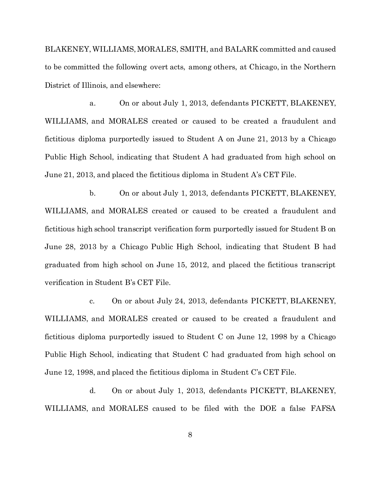BLAKENEY, WILLIAMS, MORALES, SMITH, and BALARK committed and caused to be committed the following overt acts, among others, at Chicago, in the Northern District of Illinois, and elsewhere:

a. On or about July 1, 2013, defendants PICKETT, BLAKENEY, WILLIAMS, and MORALES created or caused to be created a fraudulent and fictitious diploma purportedly issued to Student A on June 21, 2013 by a Chicago Public High School, indicating that Student A had graduated from high school on June 21, 2013, and placed the fictitious diploma in Student A's CET File.

b. On or about July 1, 2013, defendants PICKETT, BLAKENEY, WILLIAMS, and MORALES created or caused to be created a fraudulent and fictitious high school transcript verification form purportedly issued for Student B on June 28, 2013 by a Chicago Public High School, indicating that Student B had graduated from high school on June 15, 2012, and placed the fictitious transcript verification in Student B's CET File.

c. On or about July 24, 2013, defendants PICKETT, BLAKENEY, WILLIAMS, and MORALES created or caused to be created a fraudulent and fictitious diploma purportedly issued to Student C on June 12, 1998 by a Chicago Public High School, indicating that Student C had graduated from high school on June 12, 1998, and placed the fictitious diploma in Student C's CET File.

d. On or about July 1, 2013, defendants PICKETT, BLAKENEY, WILLIAMS, and MORALES caused to be filed with the DOE a false FAFSA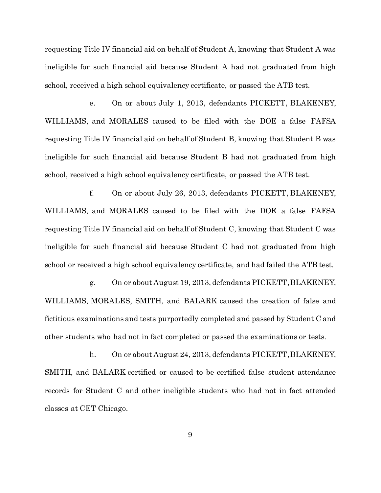requesting Title IV financial aid on behalf of Student A, knowing that Student A was ineligible for such financial aid because Student A had not graduated from high school, received a high school equivalency certificate, or passed the ATB test.

e. On or about July 1, 2013, defendants PICKETT, BLAKENEY, WILLIAMS, and MORALES caused to be filed with the DOE a false FAFSA requesting Title IV financial aid on behalf of Student B, knowing that Student B was ineligible for such financial aid because Student B had not graduated from high school, received a high school equivalency certificate, or passed the ATB test.

f. On or about July 26, 2013, defendants PICKETT, BLAKENEY, WILLIAMS, and MORALES caused to be filed with the DOE a false FAFSA requesting Title IV financial aid on behalf of Student C, knowing that Student C was ineligible for such financial aid because Student C had not graduated from high school or received a high school equivalency certificate, and had failed the ATB test.

g. On or about August 19, 2013, defendants PICKETT, BLAKENEY, WILLIAMS, MORALES, SMITH, and BALARK caused the creation of false and fictitious examinations and tests purportedly completed and passed by Student C and other students who had not in fact completed or passed the examinations or tests.

h. On or about August 24, 2013, defendants PICKETT, BLAKENEY, SMITH, and BALARK certified or caused to be certified false student attendance records for Student C and other ineligible students who had not in fact attended classes at CET Chicago.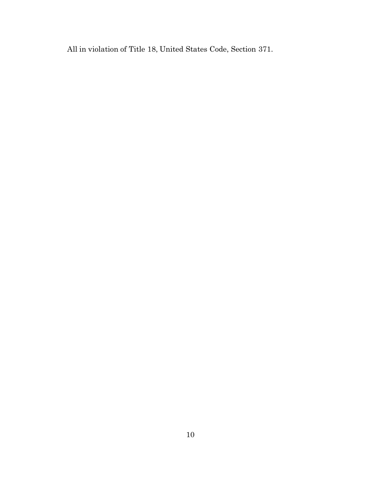All in violation of Title 18, United States Code, Section 371.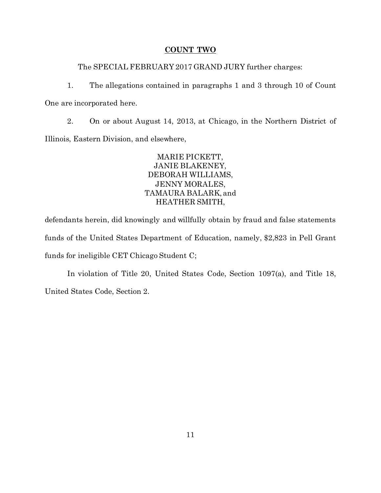#### **COUNT TWO**

The SPECIAL FEBRUARY 2017 GRAND JURY further charges:

1. The allegations contained in paragraphs 1 and 3 through 10 of Count One are incorporated here.

2. On or about August 14, 2013, at Chicago, in the Northern District of Illinois, Eastern Division, and elsewhere,

> MARIE PICKETT, JANIE BLAKENEY, DEBORAH WILLIAMS, JENNY MORALES, TAMAURA BALARK, and HEATHER SMITH,

defendants herein, did knowingly and willfully obtain by fraud and false statements funds of the United States Department of Education, namely, \$2,823 in Pell Grant funds for ineligible CET Chicago Student C;

In violation of Title 20, United States Code, Section 1097(a), and Title 18, United States Code, Section 2.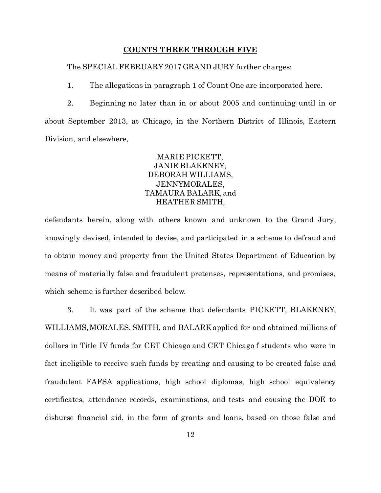#### **COUNTS THREE THROUGH FIVE**

The SPECIAL FEBRUARY 2017 GRAND JURY further charges:

1. The allegations in paragraph 1 of Count One are incorporated here.

2. Beginning no later than in or about 2005 and continuing until in or about September 2013, at Chicago, in the Northern District of Illinois, Eastern Division, and elsewhere,

> MARIE PICKETT, JANIE BLAKENEY, DEBORAH WILLIAMS, JENNYMORALES, TAMAURA BALARK, and HEATHER SMITH,

defendants herein, along with others known and unknown to the Grand Jury, knowingly devised, intended to devise, and participated in a scheme to defraud and to obtain money and property from the United States Department of Education by means of materially false and fraudulent pretenses, representations, and promises, which scheme is further described below.

3. It was part of the scheme that defendants PICKETT, BLAKENEY, WILLIAMS, MORALES, SMITH, and BALARK applied for and obtained millions of dollars in Title IV funds for CET Chicago and CET Chicago f students who were in fact ineligible to receive such funds by creating and causing to be created false and fraudulent FAFSA applications, high school diplomas, high school equivalency certificates, attendance records, examinations, and tests and causing the DOE to disburse financial aid, in the form of grants and loans, based on those false and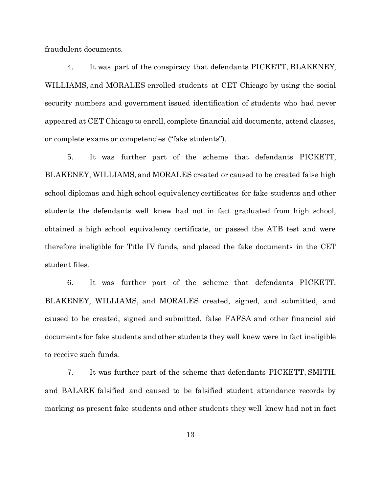fraudulent documents.

4. It was part of the conspiracy that defendants PICKETT, BLAKENEY, WILLIAMS, and MORALES enrolled students at CET Chicago by using the social security numbers and government issued identification of students who had never appeared at CET Chicago to enroll, complete financial aid documents, attend classes, or complete exams or competencies ("fake students").

5. It was further part of the scheme that defendants PICKETT, BLAKENEY, WILLIAMS, and MORALES created or caused to be created false high school diplomas and high school equivalency certificates for fake students and other students the defendants well knew had not in fact graduated from high school, obtained a high school equivalency certificate, or passed the ATB test and were therefore ineligible for Title IV funds, and placed the fake documents in the CET student files.

6. It was further part of the scheme that defendants PICKETT, BLAKENEY, WILLIAMS, and MORALES created, signed, and submitted, and caused to be created, signed and submitted, false FAFSA and other financial aid documents for fake students and other students they well knew were in fact ineligible to receive such funds.

7. It was further part of the scheme that defendants PICKETT, SMITH, and BALARK falsified and caused to be falsified student attendance records by marking as present fake students and other students they well knew had not in fact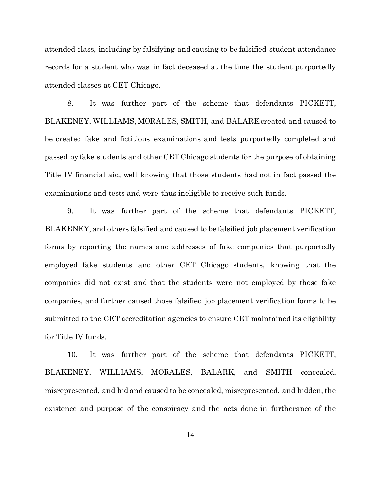attended class, including by falsifying and causing to be falsified student attendance records for a student who was in fact deceased at the time the student purportedly attended classes at CET Chicago.

8. It was further part of the scheme that defendants PICKETT, BLAKENEY, WILLIAMS, MORALES, SMITH, and BALARK created and caused to be created fake and fictitious examinations and tests purportedly completed and passed by fake students and other CET Chicago students for the purpose of obtaining Title IV financial aid, well knowing that those students had not in fact passed the examinations and tests and were thus ineligible to receive such funds.

9. It was further part of the scheme that defendants PICKETT, BLAKENEY, and others falsified and caused to be falsified job placement verification forms by reporting the names and addresses of fake companies that purportedly employed fake students and other CET Chicago students, knowing that the companies did not exist and that the students were not employed by those fake companies, and further caused those falsified job placement verification forms to be submitted to the CET accreditation agencies to ensure CET maintained its eligibility for Title IV funds.

10. It was further part of the scheme that defendants PICKETT, BLAKENEY, WILLIAMS, MORALES, BALARK, and SMITH concealed, misrepresented, and hid and caused to be concealed, misrepresented, and hidden, the existence and purpose of the conspiracy and the acts done in furtherance of the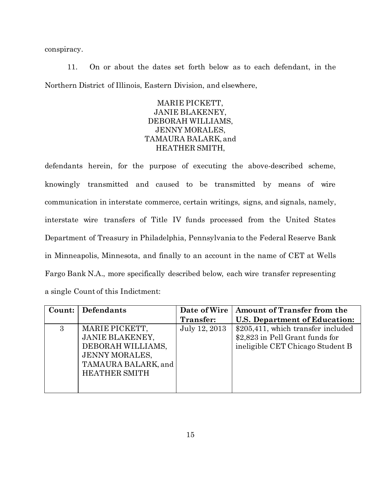conspiracy.

11. On or about the dates set forth below as to each defendant, in the Northern District of Illinois, Eastern Division, and elsewhere,

## MARIE PICKETT, JANIE BLAKENEY, DEBORAH WILLIAMS, JENNY MORALES, TAMAURA BALARK, and HEATHER SMITH,

defendants herein, for the purpose of executing the above-described scheme, knowingly transmitted and caused to be transmitted by means of wire communication in interstate commerce, certain writings, signs, and signals, namely, interstate wire transfers of Title IV funds processed from the United States Department of Treasury in Philadelphia, Pennsylvania to the Federal Reserve Bank in Minneapolis, Minnesota, and finally to an account in the name of CET at Wells Fargo Bank N.A., more specifically described below, each wire transfer representing a single Count of this Indictment:

| Count: | Defendants             | Date of Wire  | Amount of Transfer from the        |
|--------|------------------------|---------------|------------------------------------|
|        |                        | Transfer:     | U.S. Department of Education:      |
| 3      | MARIE PICKETT,         | July 12, 2013 | \$205,411, which transfer included |
|        | <b>JANIE BLAKENEY,</b> |               | \$2,823 in Pell Grant funds for    |
|        | DEBORAH WILLIAMS,      |               | ineligible CET Chicago Student B   |
|        | <b>JENNY MORALES,</b>  |               |                                    |
|        | TAMAURA BALARK, and    |               |                                    |
|        | <b>HEATHER SMITH</b>   |               |                                    |
|        |                        |               |                                    |
|        |                        |               |                                    |